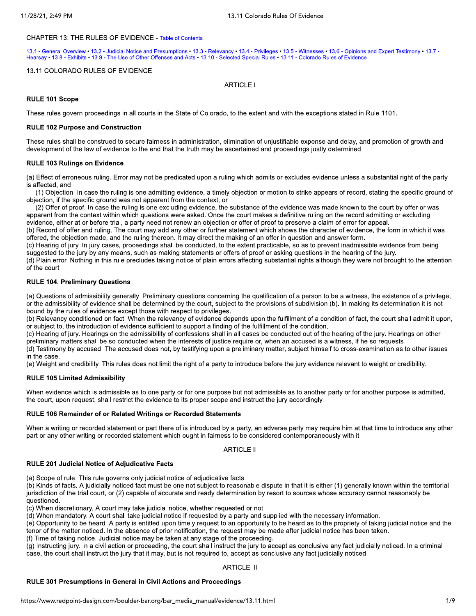# CHAPTER 13: THE RULES OF EVIDENCE - Table of Contents

13.1 - General Overview • 13.2 - Judicial Notice and Presumptions • 13.3 - Relevancy • 13.4 - Privileges • 13.5 - Witnesses • 13.6 - Opinions and Expert Testimony • 13.7 -Hearsay · 13.8 - Exhibits · 13.9 - The Use of Other Offenses and Acts · 13.10 - Selected Special Rules · 13.11 - Colorado Rules of Evidence

## 13.11 COLORADO RULES OF EVIDENCE

## **ARTICLE I**

## RULE 101 Scope

These rules govern proceedings in all courts in the State of Colorado, to the extent and with the exceptions stated in Rule 1101.

## **RULE 102 Purpose and Construction**

These rules shall be construed to secure fairness in administration, elimination of unjustifiable expense and delay, and promotion of growth and development of the law of evidence to the end that the truth may be ascertained and proceedings justly determined.

### **RULE 103 Rulings on Evidence**

(a) Effect of erroneous ruling. Error may not be predicated upon a ruling which admits or excludes evidence unless a substantial right of the party is affected, and

(1) Objection. In case the ruling is one admitting evidence, a timely objection or motion to strike appears of record, stating the specific ground of objection, if the specific ground was not apparent from the context; or

(2) Offer of proof. In case the ruling is one excluding evidence, the substance of the evidence was made known to the court by offer or was apparent from the context within which questions were asked. Once the court makes a definitive ruling on the record admitting or excluding evidence, either at or before trial, a party need not renew an objection or offer of proof to preserve a claim of error for appeal.

(b) Record of offer and ruling. The court may add any other or further statement which shows the character of evidence, the form in which it was offered, the objection made, and the ruling thereon. It may direct the making of an offer in question and answer form.

(c) Hearing of jury. In jury cases, proceedings shall be conducted, to the extent practicable, so as to prevent inadmissible evidence from being suggested to the jury by any means, such as making statements or offers of proof or asking questions in the hearing of the jury.

(d) Plain error. Nothing in this rule precludes taking notice of plain errors affecting substantial rights although they were not brought to the attention of the court.

# **RULE 104. Preliminary Questions**

(a) Questions of admissibility generally. Preliminary questions concerning the qualification of a person to be a witness, the existence of a privilege, or the admissibility of evidence shall be determined by the court, subject to the provisions of subdivision (b). In making its determination it is not bound by the rules of evidence except those with respect to privileges.

(b) Relevancy conditioned on fact. When the relevancy of evidence depends upon the fulfillment of a condition of fact, the court shall admit it upon. or subject to, the introduction of evidence sufficient to support a finding of the fulfillment of the condition.

(c) Hearing of jury. Hearings on the admissibility of confessions shall in all cases be conducted out of the hearing of the jury. Hearings on other preliminary matters shall be so conducted when the interests of justice require or, when an accused is a witness, if he so requests,

(d) Testimony by accused. The accused does not, by testifying upon a preliminary matter, subject himself to cross-examination as to other issues in the case.

(e) Weight and credibility. This rules does not limit the right of a party to introduce before the jury evidence relevant to weight or credibility.

### **RULE 105 Limited Admissibility**

When evidence which is admissible as to one party or for one purpose but not admissible as to another party or for another purpose is admitted, the court, upon request, shall restrict the evidence to its proper scope and instruct the jury accordingly.

### RULE 106 Remainder of or Related Writings or Recorded Statements

When a writing or recorded statement or part there of is introduced by a party, an adverse party may require him at that time to introduce any other part or any other writing or recorded statement which ought in fairness to be considered contemporaneously with it.

### **ARTICLE II**

## **RULE 201 Judicial Notice of Adjudicative Facts**

(a) Scope of rule. This rule governs only judicial notice of adjudicative facts.

(b) Kinds of facts. A judicially noticed fact must be one not subject to reasonable dispute in that it is either (1) generally known within the territorial jurisdiction of the trial court, or (2) capable of accurate and ready determination by resort to sources whose accuracy cannot reasonably be questioned.

(c) When discretionary. A court may take judicial notice, whether requested or not.

(d) When mandatory. A court shall take judicial notice if requested by a party and supplied with the necessary information.

(e) Opportunity to be heard. A party is entitled upon timely request to an opportunity to be heard as to the propriety of taking judicial notice and the tenor of the matter noticed. In the absence of prior notification, the request may be made after judicial notice has been taken.

(f) Time of taking notice. Judicial notice may be taken at any stage of the proceeding.

(g) Instructing jury. In a civil action or proceeding, the court shall instruct the jury to accept as conclusive any fact judicially noticed. In a criminal case, the court shall instruct the jury that it may, but is not required to, accept as conclusive any fact judicially noticed.

### **ARTICLE III**

# RULE 301 Presumptions in General in Civil Actions and Proceedings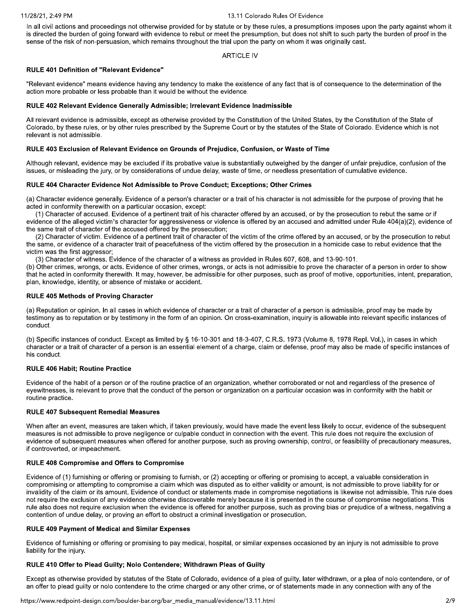In all civil actions and proceedings not otherwise provided for by statute or by these rules, a presumptions imposes upon the party against whom it is directed the burden of going forward with evidence to rebut or meet the presumption, but does not shift to such party the burden of proof in the sense of the risk of non-persuasion, which remains throughout the trial upon the party on whom it was originally cast.

## **ARTICLE IV**

## RULE 401 Definition of "Relevant Evidence"

"Relevant evidence" means evidence having any tendency to make the existence of any fact that is of consequence to the determination of the action more probable or less probable than it would be without the evidence.

## RULE 402 Relevant Evidence Generally Admissible; Irrelevant Evidence Inadmissible

All relevant evidence is admissible, except as otherwise provided by the Constitution of the United States, by the Constitution of the State of Colorado, by these rules, or by other rules prescribed by the Supreme Court or by the statutes of the State of Colorado. Evidence which is not relevant is not admissible.

## RULE 403 Exclusion of Relevant Evidence on Grounds of Prejudice, Confusion, or Waste of Time

Although relevant, evidence may be excluded if its probative value is substantially outweighed by the danger of unfair prejudice, confusion of the issues, or misleading the jury, or by considerations of undue delay, waste of time, or needless presentation of cumulative evidence.

### RULE 404 Character Evidence Not Admissible to Prove Conduct; Exceptions; Other Crimes

(a) Character evidence generally. Evidence of a person's character or a trait of his character is not admissible for the purpose of proving that he acted in conformity therewith on a particular occasion, except:

(1) Character of accused. Evidence of a pertinent trait of his character offered by an accused, or by the prosecution to rebut the same or if evidence of the alleged victim<sup>1</sup>s character for aggressiveness or violence is offered by an accused and admitted under Rule 404(a)(2), evidence of the same trait of character of the accused offered by the prosecution;

(2) Character of victim. Evidence of a pertinent trait of character of the victim of the crime offered by an accused, or by the prosecution to rebut the same, or evidence of a character trait of peacefulness of the victim offered by the prosecution in a homicide case to rebut evidence that the victim was the first aggressor;

(3) Character of witness. Evidence of the character of a witness as provided in Rules 607, 608, and 13-90-101.

(b) Other crimes, wrongs, or acts. Evidence of other crimes, wrongs, or acts is not admissible to prove the character of a person in order to show that he acted in conformity therewith. It may, however, be admissible for other purposes, such as proof of motive, opportunities, intent, preparation, plan, knowledge, identity, or absence of mistake or accident.

## **RULE 405 Methods of Proving Character**

(a) Reputation or opinion. In all cases in which evidence of character or a trait of character of a person is admissible, proof may be made by testimony as to reputation or by testimony in the form of an opinion. On cross-examination, inquiry is allowable into relevant specific instances of conduct.

(b) Specific instances of conduct. Except as limited by § 16-10-301 and 18-3-407, C.R.S. 1973 (Volume 8, 1978 Repl. Vol.), in cases in which character or a trait of character of a person is an essential element of a charge, claim or defense, proof may also be made of specific instances of his conduct.

# RULE 406 Habit; Routine Practice

Evidence of the habit of a person or of the routine practice of an organization, whether corroborated or not and regardless of the presence of eyewitnesses, is relevant to prove that the conduct of the person or organization on a particular occasion was in conformity with the habit or routine practice.

## **RULE 407 Subsequent Remedial Measures**

When after an event, measures are taken which, if taken previously, would have made the event less likely to occur, evidence of the subsequent measures is not admissible to prove negligence or culpable conduct in connection with the event. This rule does not require the exclusion of evidence of subsequent measures when offered for another purpose, such as proving ownership, control, or feasibility of precautionary measures, if controverted, or impeachment.

### **RULE 408 Compromise and Offers to Compromise**

Evidence of (1) furnishing or offering or promising to furnish, or (2) accepting or offering or promising to accept, a valuable consideration in compromising or attempting to compromise a claim which was disputed as to either validity or amount, is not admissible to prove liability for or invalidity of the claim or its amount. Evidence of conduct or statements made in compromise negotiations is likewise not admissible. This rule does not require the exclusion of any evidence otherwise discoverable merely because it is presented in the course of compromise negotiations. This rule also does not require exclusion when the evidence is offered for another purpose, such as proving bias or prejudice of a witness, negativing a contention of undue delay, or proving an effort to obstruct a criminal investigation or prosecution.

### **RULE 409 Payment of Medical and Similar Expenses**

Evidence of furnishing or offering or promising to pay medical, hospital, or similar expenses occasioned by an injury is not admissible to prove liability for the injury.

## RULE 410 Offer to Plead Guilty; Nolo Contendere; Withdrawn Pleas of Guilty

Except as otherwise provided by statutes of the State of Colorado, evidence of a plea of guilty, later withdrawn, or a plea of nolo contendere, or of an offer to plead guilty or nolo contendere to the crime charged or any other crime, or of statements made in any connection with any of the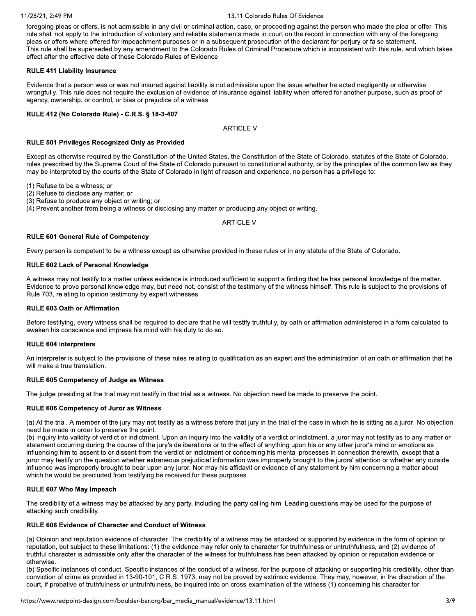### 11/28/21, 2:49 PM

### 13.11 Colorado Rules Of Evidence

foregoing pleas or offers, is not admissible in any civil or criminal action, case, or proceeding against the person who made the plea or offer. This rule shall not apply to the introduction of voluntary and reliable statements made in court on the record in connection with any of the foregoing pleas or offers where offered for impeachment purposes or in a subsequent prosecution of the declarant for periury or false statement. This rule shall be superseded by any amendment to the Colorado Rules of Criminal Procedure which is inconsistent with this rule, and which takes effect after the effective date of these Colorado Rules of Evidence.

## **RULE 411 Liability Insurance**

Evidence that a person was or was not insured against liability is not admissible upon the issue whether he acted negligently or otherwise wrongfully. This rule does not require the exclusion of evidence of insurance against liability when offered for another purpose, such as proof of agency, ownership, or control, or bias or prejudice of a witness.

## RULE 412 (No Colorado Rule) - C.R.S. § 18-3-407

## **ARTICLE V**

## RULE 501 Privileges Recognized Only as Provided

Except as otherwise required by the Constitution of the United States, the Constitution of the State of Colorado, statutes of the State of Colorado. rules prescribed by the Supreme Court of the State of Colorado pursuant to constitutional authority, or by the principles of the common law as they may be interpreted by the courts of the State of Colorado in light of reason and experience, no person has a privilege to:

(1) Refuse to be a witness; or

- (2) Refuse to disclose any matter; or
- (3) Refuse to produce any object or writing; or

(4) Prevent another from being a witness or disclosing any matter or producing any object or writing.

## **ARTICLE VI**

## **RULE 601 General Rule of Competency**

Every person is competent to be a witness except as otherwise provided in these rules or in any statute of the State of Colorado.

## RULE 602 Lack of Personal Knowledge

A witness may not testify to a matter unless evidence is introduced sufficient to support a finding that he has personal knowledge of the matter. Evidence to prove personal knowledge may, but need not, consist of the testimony of the witness himself. This rule is subject to the provisions of Rule 703, relating to opinion testimony by expert witnesses

## **RULE 603 Oath or Affirmation**

Before testifying, every witness shall be required to declare that he will testify truthfully, by oath or affirmation administered in a form calculated to awaken his conscience and impress his mind with his duty to do so.

### **RULE 604 Interpreters**

An interpreter is subject to the provisions of these rules relating to qualification as an expert and the administration of an oath or affirmation that he will make a true translation.

# RULE 605 Competency of Judge as Witness

The judge presiding at the trial may not testify in that trial as a witness. No objection need be made to preserve the point.

### **RULE 606 Competency of Juror as Witness**

(a) At the trial. A member of the jury may not testify as a witness before that jury in the trial of the case in which he is sitting as a juror. No objection need be made in order to preserve the point.

(b) Inquiry into validity of verdict or indictment. Upon an inquiry into the validity of a verdict or indictment, a juror may not testify as to any matter or statement occurring during the course of the jury's deliberations or to the effect of anything upon his or any other juror's mind or emotions as influencing him to assent to or dissent from the verdict or indictment or concerning his mental processes in connection therewith, except that a juror may testify on the question whether extraneous prejudicial information was improperly brought to the jurors' attention or whether any outside influence was improperly brought to bear upon any juror. Nor may his affidavit or evidence of any statement by him concerning a matter about which he would be precluded from testifying be received for these purposes.

### RULE 607 Who May Impeach

The credibility of a witness may be attacked by any party, including the party calling him. Leading questions may be used for the purpose of attacking such credibility.

# RULE 608 Evidence of Character and Conduct of Witness

(a) Opinion and reputation evidence of character. The credibility of a witness may be attacked or supported by evidence in the form of opinion or reputation, but subject to these limitations: (1) the evidence may refer only to character for truthfulness or untruthfulness, and (2) evidence of truthful character is admissible only after the character of the witness for truthfulness has been attacked by opinion or reputation evidence or otherwise.

(b) Specific instances of conduct. Specific instances of the conduct of a witness, for the purpose of attacking or supporting his credibility, other than conviction of crime as provided in 13-90-101, C.R.S. 1973, may not be proved by extrinsic evidence. They may, however, in the discretion of the court, if probative of truthfulness or untruthfulness, be inquired into on cross-examination of the witness (1) concerning his character for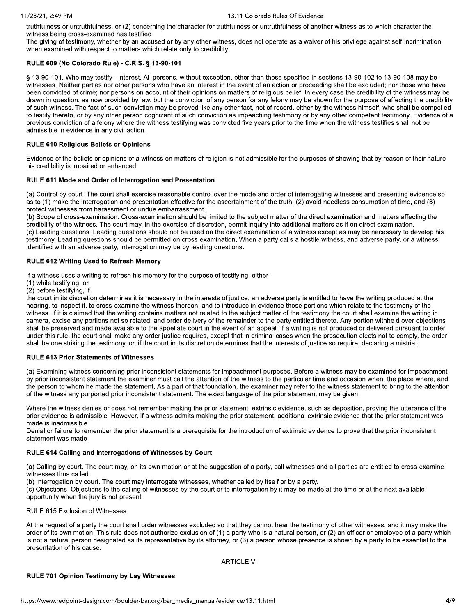The state of the state of commute strength is the first method in the state of the state of the state of the state of the state of the state of the state of the state of the state of the state of the state of the state of

- 
-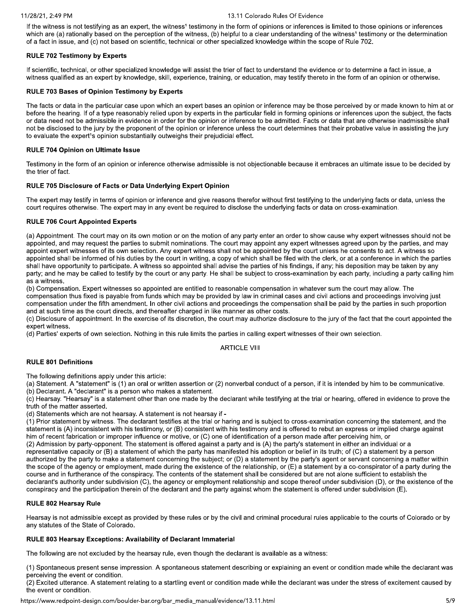If the witness is not testifying as an expert, the witness<sup>1</sup> testimony in the form of opinions or inferences is limited to those opinions or inferences which are (a) rationally based on the perception of the witness, (b) helpful to a clear understanding of the witness<sup>1</sup> testimony or the determination of a fact in issue, and (c) not based on scientific, technical or other specialized knowledge within the scope of Rule 702.

## **RULE 702 Testimony by Experts**

If scientific, technical, or other specialized knowledge will assist the trier of fact to understand the evidence or to determine a fact in issue, a witness qualified as an expert by knowledge, skill, experience, training, or education, may testify thereto in the form of an opinion or otherwise.

## **RULE 703 Bases of Opinion Testimony by Experts**

The facts or data in the particular case upon which an expert bases an opinion or inference may be those perceived by or made known to him at or before the hearing. If of a type reasonably relied upon by experts in the particular field in forming opinions or inferences upon the subject, the facts or data need not be admissible in evidence in order for the opinion or inference to be admitted. Facts or data that are otherwise inadmissible shall not be disclosed to the jury by the proponent of the opinion or inference unless the court determines that their probative value in assisting the jury to evaluate the expert<sup>1</sup>s opinion substantially outweighs their prejudicial effect.

## **RULE 704 Opinion on Ultimate Issue**

Testimony in the form of an opinion or inference otherwise admissible is not objectionable because it embraces an ultimate issue to be decided by the trier of fact.

## RULE 705 Disclosure of Facts or Data Underlying Expert Opinion

The expert may testify in terms of opinion or inference and give reasons therefor without first testifying to the underlying facts or data, unless the court requires otherwise. The expert may in any event be required to disclose the underlying facts or data on cross-examination.

### **RULE 706 Court Appointed Experts**

(a) Appointment. The court may on its own motion or on the motion of any party enter an order to show cause why expert witnesses should not be appointed, and may request the parties to submit nominations. The court may appoint any expert witnesses agreed upon by the parties, and may appoint expert witnesses of its own selection. Any expert witness shall not be appointed by the court unless he consents to act. A witness so appointed shall be informed of his duties by the court in writing, a copy of which shall be filed with the clerk, or at a conference in which the parties shall have opportunity to participate. A witness so appointed shall advise the parties of his findings, if any; his deposition may be taken by any party; and he may be called to testify by the court or any party. He shall be subject to cross-examination by each party, including a party calling him as a witness.

(b) Compensation. Expert witnesses so appointed are entitled to reasonable compensation in whatever sum the court may allow. The compensation thus fixed is payable from funds which may be provided by law in criminal cases and civil actions and proceedings involving just compensation under the fifth amendment. In other civil actions and proceedings the compensation shall be paid by the parties in such proportion and at such time as the court directs, and thereafter charged in like manner as other costs.

(c) Disclosure of appointment. In the exercise of its discretion, the court may authorize disclosure to the jury of the fact that the court appointed the expert witness.

(d) Parties' experts of own selection. Nothing in this rule limits the parties in calling expert witnesses of their own selection.

## **ARTICLE VIII**

## **RULE 801 Definitions**

The following definitions apply under this article:

(a) Statement. A "statement" is (1) an oral or written assertion or (2) nonverbal conduct of a person, if it is intended by him to be communicative. (b) Declarant. A "declarant" is a person who makes a statement.

(c) Hearsay. "Hearsay" is a statement other than one made by the declarant while testifying at the trial or hearing, offered in evidence to prove the truth of the matter asserted.

(d) Statements which are not hearsay. A statement is not hearsay if -

(1) Prior statement by witness. The declarant testifies at the trial or haring and is subject to cross-examination concerning the statement, and the statement is (A) inconsistent with his testimony, or (B) consistent with his testimony and is offered to rebut an express or implied charge against him of recent fabrication or improper influence or motive, or (C) one of identification of a person made after perceiving him, or

(2) Admission by party-opponent. The statement is offered against a party and is (A) the party's statement in either an individual or a representative capacity or (B) a statement of which the party has manifested his adoption or belief in its truth; of (C) a statement by a person authorized by the party to make a statement concerning the subject; or (D) a statement by the party's agent or servant concerning a matter within the scope of the agency or employment, made during the existence of the relationship, or (E) a statement by a co-conspirator of a party during the course and in furtherance of the conspiracy. The contents of the statement shall be considered but are not alone sufficient to establish the declarant's authority under subdivision (C), the agency or employment relationship and scope thereof under subdivision (D), or the existence of the conspiracy and the participation therein of the declarant and the party against whom the statement is offered under subdivision (E).

## **RULE 802 Hearsav Rule**

Hearsay is not admissible except as provided by these rules or by the civil and criminal procedural rules applicable to the courts of Colorado or by any statutes of the State of Colorado.

## RULE 803 Hearsay Exceptions: Availability of Declarant Immaterial

The following are not excluded by the hearsay rule, even though the declarant is available as a witness:

(1) Spontaneous present sense impression. A spontaneous statement describing or explaining an event or condition made while the declarant was perceiving the event or condition.

(2) Excited utterance. A statement relating to a startling event or condition made while the declarant was under the stress of excitement caused by the event or condition.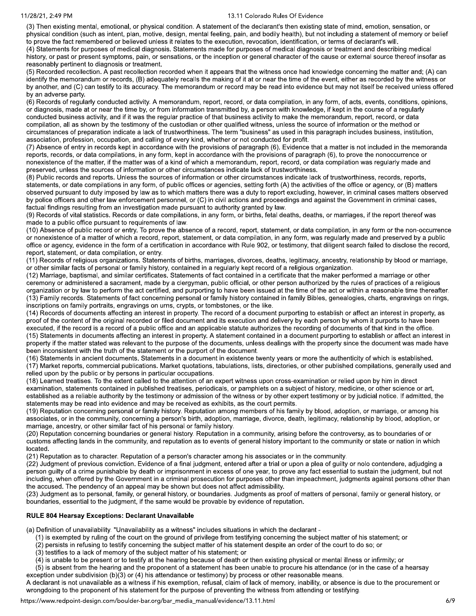(3) Then existing mental, emotional, or physical condition. A statement of the declarant's then existing state of mind, emotion, sensation, or physical condition (such as intent, plan, motive, design, mental feeling, pain, and bodily health), but not including a statement of memory or belief to prove the fact remembered or believed unless it relates to the execution, revocation, identification, or terms of declarant's will.

(4) Statements for purposes of medical diagnosis. Statements made for purposes of medical diagnosis or treatment and describing medical history, or past or present symptoms, pain, or sensations, or the inception or general character of the cause or external source thereof insofar as reasonably pertinent to diagnosis or treatment.

(5) Recorded recollection. A past recollection recorded when it appears that the witness once had knowledge concerning the matter and; (A) can identify the memorandum or records, (B) adequately recalls the making of it at or near the time of the event, either as recorded by the witness or by another, and (C) can testify to its accuracy. The memorandum or record may be read into evidence but may not itself be received unless offered by an adverse party.

(6) Records of regularly conducted activity. A memorandum, report, record, or data compilation, in any form, of acts, events, conditions, opinions, or diagnosis, made at or near the time by, or from information transmitted by, a person with knowledge, if kept in the course of a regularly conducted business activity, and if it was the regular practice of that business activity to make the memorandum, report, record, or data compilation, all as shown by the testimony of the custodian or other qualified witness, unless the source of information or the method or circumstances of preparation indicate a lack of trustworthiness. The term "business" as used in this paragraph includes business, institution, association, profession, occupation, and calling of every kind, whether or not conducted for profit.

(7) Absence of entry in records kept in accordance with the provisions of paragraph (6). Evidence that a matter is not included in the memoranda reports, records, or data compilations, in any form, kept in accordance with the provisions of paragraph (6), to prove the nonoccurrence or nonexistence of the matter, if the matter was of a kind of which a memorandum, report, record, or data compilation was regularly made and preserved, unless the sources of information or other circumstances indicate lack of trustworthiness.

(8) Public records and reports. Unless the sources of information or other circumstances indicate lack of trustworthiness, records, reports, statements, or date compilations in any form, of public offices or agencies, setting forth (A) the activities of the office or agency, or (B) matters observed pursuant to duty imposed by law as to which matters there was a duty to report excluding, however, in criminal cases matters observed by police officers and other law enforcement personnel, or (C) in civil actions and proceedings and against the Government in criminal cases, factual findings resulting from an investigation made pursuant to authority granted by law.

(9) Records of vital statistics. Records or date compilations, in any form, or births, fetal deaths, deaths, or marriages, if the report thereof was made to a public office pursuant to requirements of law.

(10) Absence of public record or entry. To prove the absence of a record, report, statement, or data compilation, in any form or the non-occurrence or nonexistence of a matter of which a record, report, statement, or data compilation, in any form, was regularly made and preserved by a public office or agency, evidence in the form of a certification in accordance with Rule 902, or testimony, that diligent search failed to disclose the record, report, statement, or data compilation, or entry.

(11) Records of religious organizations. Statements of births, marriages, divorces, deaths, legitimacy, ancestry, relationship by blood or marriage, or other similar facts of personal or family history, contained in a regularly kept record of a religious organization.

(12) Marriage, baptismal, and similar certificates. Statements of fact contained in a certificate that the maker performed a marriage or other ceremony or administered a sacrament, made by a clergyman, public official, or other person authorized by the rules of practices of a religious organization or by law to perform the act certified, and purporting to have been issued at the time of the act or within a reasonable time thereafter. (13) Family records. Statements of fact concerning personal or family history contained in family Bibles, genealogies, charts, engravings on rings, inscriptions on family portraits, engravings on urns, crypts, or tombstones, or the like.

(14) Records of documents affecting an interest in property. The record of a document purporting to establish or affect an interest in property, as proof of the content of the original recorded or filed document and its execution and delivery by each person by whom it purports to have been executed, if the record is a record of a public office and an applicable statute authorizes the recording of documents of that kind in the office. (15) Statements in documents affecting an interest in property. A statement contained in a document purporting to establish or affect an interest in property if the matter stated was relevant to the purpose of the documents, unless dealings with the property since the document was made have been inconsistent with the truth of the statement or the purport of the document.

(16) Statements in ancient documents. Statements in a document in existence twenty years or more the authenticity of which is established. (17) Market reports, commercial publications, Market quotations, tabulations, lists, directories, or other published compilations, generally used and relied upon by the public or by persons in particular occupations.

(18) Learned treatises. To the extent called to the attention of an expert witness upon cross-examination or relied upon by him in direct examination, statements contained in published treatises, periodicals, or pamphlets on a subject of history, medicine, or other science or art, established as a reliable authority by the testimony or admission of the witness or by other expert testimony or by judicial notice. If admitted, the statements may be read into evidence and may be received as exhibits, as the court permits.

(19) Reputation concerning personal or family history. Reputation among members of his family by blood, adoption, or marriage, or among his associates, or in the community, concerning a person's birth, adoption, marriage, divorce, death, legitimacy, relationship by blood, adoption, or marriage, ancestry, or other similar fact of his personal or family history.

(20) Reputation concerning boundaries or general history. Reputation in a community, arising before the controversy, as to boundaries of or customs affecting lands in the community, and reputation as to events of general history important to the community or state or nation in which located.

(21) Reputation as to character. Reputation of a person's character among his associates or in the community.

(22) Judgment of previous conviction. Evidence of a final judgment, entered after a trial or upon a plea of guilty or nolo contendere, adjudging a person guilty of a crime punishable by death or imprisonment in excess of one year, to prove any fact essential to sustain the judgment, but not including, when offered by the Government in a criminal prosecution for purposes other than impeachment, judgments against persons other than the accused. The pendency of an appeal may be shown but does not affect admissibility.

(23) Judgment as to personal, family, or general history, or boundaries. Judgments as proof of matters of personal, family or general history, or boundaries, essential to the judgment, if the same would be provable by evidence of reputation.

### **RULE 804 Hearsay Exceptions: Declarant Unavailable**

(a) Definition of unavailability. "Unavailability as a witness" includes situations in which the declarant -

(1) is exempted by ruling of the court on the ground of privilege from testifying concerning the subject matter of his statement; or

(2) persists in refusing to testify concerning the subject matter of his statement despite an order of the court to do so; or

(3) testifies to a lack of memory of the subject matter of his statement; or

(4) is unable to be present or to testify at the hearing because of death or then existing physical or mental illness or infirmity; or

(5) is absent from the hearing and the proponent of a statement has been unable to procure his attendance (or in the case of a hearsay exception under subdivision (b)(3) or (4) his attendance or testimony) by process or other reasonable means.

A declarant is not unavailable as a witness if his exemption, refusal, claim of lack of memory, inability, or absence is due to the procurement or wrongdoing to the proponent of his statement for the purpose of preventing the witness from attending or testifying.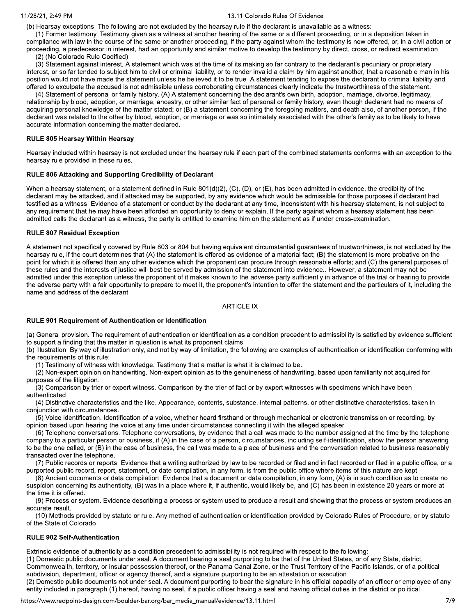(b) Hearsay exceptions. The following are not excluded by the hearsay rule if the declarant is unavailable as a witness:

(1) Former testimony. Testimony given as a witness at another hearing of the same or a different proceeding, or in a deposition taken in compliance with law in the course of the same or another proceeding, if the party against whom the testimony is now offered, or, in a civil action or proceeding, a predecessor in interest, had an opportunity and similar motive to develop the testimony by direct, cross, or redirect examination. (2) (No Colorado Rule Codified)

(3) Statement against interest. A statement which was at the time of its making so far contrary to the declarant's pecuniary or proprietary interest, or so far tended to subject him to civil or criminal liability, or to render invalid a claim by him against another, that a reasonable man in his position would not have made the statement unless he believed it to be true. A statement tending to expose the declarant to criminal liability and offered to exculpate the accused is not admissible unless corroborating circumstances clearly indicate the trustworthiness of the statement.

(4) Statement of personal or family history. (A) A statement concerning the declarant's own birth, adoption, marriage, divorce, legitimacy, relationship by blood, adoption, or marriage, ancestry, or other similar fact of personal or family history, even though declarant had no means of acquiring personal knowledge of the matter stated; or (B) a statement concerning the foregoing matters, and death also, of another person, if the declarant was related to the other by blood, adoption, or marriage or was so intimately associated with the other's family as to be likely to have accurate information concerning the matter declared.

### **RULE 805 Hearsay Within Hearsay**

Hearsay included within hearsay is not excluded under the hearsay rule if each part of the combined statements conforms with an exception to the hearsay rule provided in these rules.

### RULE 806 Attacking and Supporting Credibility of Declarant

When a hearsay statement, or a statement defined in Rule 801(d)(2), (C), (D), or (E), has been admitted in evidence, the credibility of the declarant may be attacked, and if attacked may be supported, by any evidence which would be admissible for those purposes if declarant had testified as a witness. Evidence of a statement or conduct by the declarant at any time, inconsistent with his hearsay statement, is not subject to any requirement that he may have been afforded an opportunity to deny or explain. If the party against whom a hearsay statement has been admitted calls the declarant as a witness, the party is entitled to examine him on the statement as if under cross-examination.

### **RULE 807 Residual Exception**

A statement not specifically covered by Rule 803 or 804 but having equivalent circumstantial quarantees of trustworthiness, is not excluded by the hearsay rule, if the court determines that (A) the statement is offered as evidence of a material fact; (B) the statement is more probative on the point for which it is offered than any other evidence which the proponent can procure through reasonable efforts; and (C) the general purposes of these rules and the interests of justice will best be served by admission of the statement into evidence.. However, a statement may not be admitted under this exception unless the proponent of it makes known to the adverse party sufficiently in advance of the trial or hearing to provide the adverse party with a fair opportunity to prepare to meet it, the proponent's intention to offer the statement and the particulars of it, including the name and address of the declarant.

## **ARTICLE IX**

### RULE 901 Requirement of Authentication or Identification

(a) General provision. The requirement of authentication or identification as a condition precedent to admissibility is satisfied by evidence sufficient to support a finding that the matter in question is what its proponent claims.

(b) Illustration. By way of illustration only, and not by way of limitation, the following are examples of authentication or identification conforming with the requirements of this rule:

(1) Testimony of witness with knowledge. Testimony that a matter is what it is claimed to be.

(2) Non-expert opinion on handwriting. Non-expert opinion as to the genuineness of handwriting, based upon familiarity not acquired for purposes of the litigation.

(3) Comparison by trier or expert witness. Comparison by the trier of fact or by expert witnesses with specimens which have been authenticated.

(4) Distinctive characteristics and the like. Appearance, contents, substance, internal patterns, or other distinctive characteristics, taken in conjunction with circumstances.

(5) Voice identification. Identification of a voice, whether heard firsthand or through mechanical or electronic transmission or recording, by opinion based upon hearing the voice at any time under circumstances connecting it with the alleged speaker.

(6) Telephone conversations. Telephone conversations, by evidence that a call was made to the number assigned at the time by the telephone company to a particular person or business, if (A) in the case of a person, circumstances, including self-identification, show the person answering to be the one called, or (B) in the case of business, the call was made to a place of business and the conversation related to business reasonably transacted over the telephone.

(7) Public records or reports. Evidence that a writing authorized by law to be recorded or filed and in fact recorded or filed in a public office, or a purported public record, report, statement, or date compilation, in any form, is from the public office where items of this nature are kept.

(8) Ancient documents or data compilation. Evidence that a document or data compilation, in any form, (A) is in such condition as to create no suspicion concerning its authenticity, (B) was in a place where it, if authentic, would likely be, and (C) has been in existence 20 years or more at the time it is offered.

(9) Process or system. Evidence describing a process or system used to produce a result and showing that the process or system produces an accurate result.

(10) Methods provided by statute or rule. Any method of authentication or identification provided by Colorado Rules of Procedure, or by statute of the State of Colorado.

## **RULE 902 Self-Authentication**

Extrinsic evidence of authenticity as a condition precedent to admissibility is not required with respect to the following:

(1) Domestic public documents under seal. A document bearing a seal purporting to be that of the United States, or of any State, district, Commonwealth, territory, or insular possession thereof, or the Panama Canal Zone, or the Trust Territory of the Pacific Islands, or of a political subdivision, department, officer or agency thereof, and a signature purporting to be an attestation or execution.

(2) Domestic public documents not under seal. A document purporting to bear the signature in his official capacity of an officer or employee of any entity included in paragraph (1) hereof, having no seal, if a public officer having a seal and having official duties in the district or political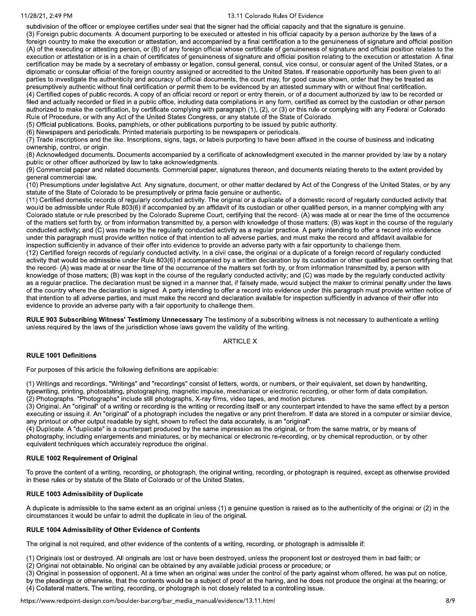### 11/28/21, 2:49 PM

### 13.11 Colorado Rules Of Evidence

subdivision of the officer or employee certifies under seal that the signer had the official capacity and that the signature is genuine. (3) Foreign public documents. A document purporting to be executed or attested in his official capacity by a person authorize by the laws of a foreign country to make the execution or attestation, and accompanied by a final certification a to the genuineness of signature and official position (A) of the executing or attesting person, or (B) of any foreign official whose certificate of genuineness of signature and official position relates to the execution or attestation or is in a chain of certificates of genuineness of signature and official position relating to the execution or attestation. A final certification may be made by a secretary of embassy or legation, consul general, consul, vice consul, or consular agent of the United States, or a diplomatic or consular official of the foreign country assigned or accredited to the United States. If reasonable opportunity has been given to all parties to investigate the authenticity and accuracy of official documents, the court may, for good cause shown, order that they be treated as presumptively authentic without final certification or permit them to be evidenced by an attested summary with or without final certification. (4) Certified copes of public records. A copy of an official record or report or entry therein, or of a document authorized by law to be recorded or filed and actually recorded or filed in a public office, including data compilations in any form, certified as correct by the custodian or other person authorized to make the certification, by certificate complying with paragraph (1), (2), or (3) or this rule or complying with any Federal or Colorado Rule of Procedure, or with any Act of the United States Congress, or any statute of the State of Colorado.

(5) Official publications. Books, pamphlets, or other publications purporting to be issued by public authority.

(6) Newspapers and periodicals. Printed materials purporting to be newspapers or periodicals.

(7) Trade inscriptions and the like. Inscriptions, signs, tags, or labels purporting to have been affixed in the course of business and indicating ownership, control, or origin.

(8) Acknowledged documents. Documents accompanied by a certificate of acknowledgment executed in the manner provided by law by a notary public or other officer authorized by law to take acknowledgments.

(9) Commercial paper and related documents. Commercial paper, signatures thereon, and documents relating thereto to the extent provided by general commercial law.

(10) Presumptions under legislative Act. Any signature, document, or other matter declared by Act of the Congress of the United States, or by any statute of the State of Colorado to be presumptively or prima facie genuine or authentic.

(11) Certified domestic records of regularly conducted activity. The original or a duplicate of a domestic record of regularly conducted activity that would be admissible under Rule 803(6) if accompanied by an affidavit of its custodian or other qualified person, in a manner complying with any Colorado statute or rule prescribed by the Colorado Supreme Court, certifying that the record- (A) was made at or near the time of the occurrence of the matters set forth by, or from information transmitted by, a person with knowledge of those matters; (B) was kept in the course of the regularly conducted activity; and (C) was made by the regularly conducted activity as a regular practice. A party intending to offer a record into evidence under this paragraph must provide written notice of that intention to all adverse parties, and must make the record and affidavit available for inspection sufficiently in advance of their offer into evidence to provide an adverse party with a fair opportunity to challenge them.

(12) Certified foreign records of regularly conducted activity. In a civil case, the original or a duplicate of a foreign record of regularly conducted activity that would be admissible under Rule 803(6) if accompanied by a written declaration by its custodian or other qualified person certifying that the record- (A) was made at or near the time of the occurrence of the matters set forth by, or from information transmitted by, a person with knowledge of those matters; (B) was kept in the course of the regularly conducted activity; and (C) was made by the regularly conducted activity as a regular practice. The declaration must be signed in a manner that, if falsely made, would subject the maker to criminal penalty under the laws of the country where the declaration is signed. A party intending to offer a record into evidence under this paragraph must provide written notice of that intention to all adverse parties, and must make the record and declaration available for inspection sufficiently in advance of their offer into evidence to provide an adverse party with a fair opportunity to challenge them.

RULE 903 Subscribing Witness' Testimony Unnecessary The testimony of a subscribing witness is not necessary to authenticate a writing unless required by the laws of the jurisdiction whose laws govern the validity of the writing.

## **ARTICLE X**

## **RULE 1001 Definitions**

For purposes of this article the following definitions are applicable:

(1) Writings and recordings. "Writings" and "recordings" consist of letters, words, or numbers, or their equivalent, set down by handwriting, typewriting, printing, photostating, photographing, magnetic impulse, mechanical or electronic recording, or other form of data compilation. (2) Photographs. "Photographs" include still photographs, X-ray films, video tapes, and motion pictures.

(3) Original. An "original" of a writing or recording is the writing or recording itself or any counterpart intended to have the same effect by a person executing or issuing it. An "original" of a photograph includes the negative or any print therefrom. If data are stored in a computer or similar device, any printout or other output readable by sight, shown to reflect the data accurately, is an "original".

(4) Duplicate. A "duplicate" is a counterpart produced by the same impression as the original, or from the same matrix, or by means of photography, including enlargements and miniatures, or by mechanical or electronic re-recording, or by chemical reproduction, or by other equivalent techniques which accurately reproduce the original.

### **RULE 1002 Requirement of Original**

To prove the content of a writing, recording, or photograph, the original writing, recording, or photograph is reguired, except as otherwise provided in these rules or by statute of the State of Colorado or of the United States.

### RULE 1003 Admissibility of Duplicate

A duplicate is admissible to the same extent as an original unless (1) a genuine question is raised as to the authenticity of the original or (2) in the circumstances it would be unfair to admit the duplicate in lieu of the original.

## RULE 1004 Admissibility of Other Evidence of Contents

The original is not required, and other evidence of the contents of a writing, recording, or photograph is admissible if:

(1) Originals lost or destroyed. All originals are lost or have been destroyed, unless the proponent lost or destroyed them in bad faith; or

(2) Original not obtainable. No original can be obtained by any available judicial process or procedure; or

(3) Original in possession of opponent. At a time when an original was under the control of the party against whom offered, he was put on notice, by the pleadings or otherwise, that the contents would be a subject of proof at the haring, and he does not produce the original at the hearing; or

# (4) Collateral matters. The writing, recording, or photograph is not closely related to a controlling issue.

https://www.redpoint-design.com/boulder-bar.org/bar\_media\_manual/evidence/13.11.html